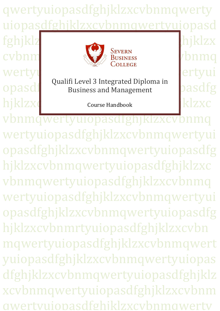qwertyuiopasdfghjklzxcvbnmqwerty uiopasdfghjklzxcvbnmqwertyuiopasd fghjklzxcvbnmqwertyuiopasdfghjklzx cvbnm wertyuiopasta dia kaominina kaominina amin'ny faritr'i Norte en dia kaominina ao amin'ny faritr'i Norte en dia Opasd Ruann Lever's Integrated Diploma in pasdfg  $hiklzx$ course Handbook  $klzxc$ Qualifi Level 3 Integrated Diploma in Course Handbook

awertyuiopasdfghiklzxcvbnmqwerty vbnmqwertyuiopasdfghjklzxcvbnmq wertyuiopasdfghjklzxcvbnmqwertyui opasdfghjklzxcvbnmqwertyuiopasdfg hjklzxcvbnmqwertyuiopasdfghjklzxc vbnmqwertyuiopasdfghjklzxcvbnmq wertyuiopasdfghjklzxcvbnmqwertyui opasdfghjklzxcvbnmqwertyuiopasdfg hjklzxcvbnmrtyuiopasdfghjklzxcvbn mqwertyuiopasdfghjklzxcvbnmqwert yuiopasdfghjklzxcvbnmqwertyuiopas dfghjklzxcvbnmqwertyuiopasdfghjklz xcvbnmqwertyuiopasdfghjklzxcvbnm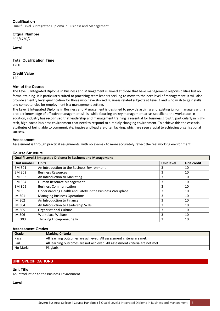## **Qualification**

Qualifi Level 3 Integrated Diploma in Business and Management

**Ofqual Number** 

603/4730/2

**Level** 

3

**Total Qualification Time**  1200

**Credit Value** 

120

## **Aim of the Course**

The Level 3 Integrated Diploma in Business and Management is aimed at those that have management responsibilities but no formal training. It is particularly suited to practicing team leaders seeking to move to the next level of management. It will also provide an entry level qualification for those who have studied Business related subjects at Level 3 and who wish to gain skills and competencies for employment is a management setting.

The Level 3 Integrated Diploma in Business and Management is designed to provide aspiring and existing junior managers with a broader knowledge of effective management skills, while focusing on key management areas specific to the workplace. In addition, industry has recognised that leadership and management training is essential for business growth, particularly in hightech, high paced business environment that need to respond to a rapidly changing environment. To achieve this the essential attributes of being able to communicate, inspire and lead are often lacking, which are seen crucial to achieving organisational success.

## **Assessment**

Assessment is through practical assignments, with no exams - to more accurately reflect the real working environment.

## **Course Structure**

| <b>Qualifi Level 3 Integrated Diploma in Business and Management</b> |                                                           |                   |                    |
|----------------------------------------------------------------------|-----------------------------------------------------------|-------------------|--------------------|
| Unit number                                                          | <b>Units</b>                                              | <b>Unit level</b> | <b>Unit credit</b> |
| <b>BM 301</b>                                                        | An Introduction to the Business Environment               | 3                 | 10                 |
| <b>BM 302</b>                                                        | <b>Business Resources</b>                                 | 3                 | 10                 |
| <b>BM 303</b>                                                        | An Introduction to Marketing                              | 3                 | 10                 |
| <b>BM 304</b>                                                        | Human Resource Management                                 | 3                 | 10                 |
| <b>BM 305</b>                                                        | <b>Business Communication</b>                             | 3                 | 10                 |
| <b>BM 306</b>                                                        | Understanding Health and Safety in the Business Workplace | 3                 | 10                 |
| IM 301                                                               | <b>Managing Business Operations</b>                       | 3                 | 10                 |
| IM 302                                                               | An Introduction to Finance                                | 3                 | 10                 |
| <b>IM 304</b>                                                        | An Introduction to Leadership Skills                      | 3                 | 10                 |
| <b>IM 305</b>                                                        | <b>Organisational Culture</b>                             | 3                 | 10                 |
| IM 306                                                               | Workplace Welfare                                         | 3                 | 10                 |
| <b>BIE 303</b>                                                       | Thinking Entrepreneurially                                | 3                 | 10                 |

### **Assessment Grades**

| Grade    | <b>Marking Criteria</b>                                                      |
|----------|------------------------------------------------------------------------------|
| Pass     | All learning outcomes are achieved. All assessment criteria are met.         |
| Fail     | All learning outcomes are not achieved. All assessment criteria are not met. |
| No Marks | Plagiarism                                                                   |

## **UNIT SPECIFICATIONS**

## **Unit Title**

An Introduction to the Business Environment

**Level** 

3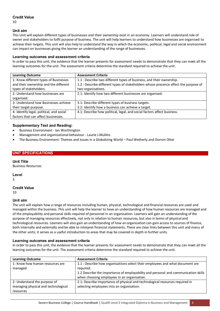## **Credit Value**

10

### **Unit aim**

This Unit will explain different types of businesses and their ownership exist in an economy. Learners will understand role of owner and stakeholders to fulfil purpose of business. The unit will help learners to understand how businesses are organised to achieve their targets. This unit will also help to understand the way in which the economic, political, legal and social environment can impact on businesses giving the learner an understanding of the range of businesses.

### **Learning outcomes and assessment criteria**

In order to pass this unit, the evidence that the learner presents for assessment needs to demonstrate that they can meet all the learning outcomes for the unit. The assessment criteria determine the standard required to achieve the unit.

| <b>Learning Outcome</b>                  | <b>Assessment Criteria</b>                                                          |
|------------------------------------------|-------------------------------------------------------------------------------------|
| 1: Know different types of Businesses    | 1.1 : Describe two different types of business, and their ownership.                |
| and their ownership and the different    | 1.2 : Describe different types of stakeholders whose presence affect the purpose of |
| types of stakeholders.                   | two organisations.                                                                  |
| 2: Understand how businesses are         | 2.1: Identify how two different businesses are organised.                           |
| organised.                               |                                                                                     |
| 3: Understand how Businesses achieve     | 3.1: Describe different types of business targets.                                  |
| their target purpose.                    | 3.2: Identify how a business can achieve a target.                                  |
| 4: Identify legal, political, and social | 4.1: Describe how political, legal, and social factors affect business.             |
| factors that can affect businesses.      |                                                                                     |

## **Supplementary Text and Reading:**

- Business Environment Ian Worthington
- Management and organisational behaviour Laurie J.Mullins
- The Business Environment: Themes and Issues in a Globalizing World Paul Wetherly and Dorron Otter

## **UNIT SPECIFICATIONS**

## **Unit Title**

Business Resources

## **Level**

3

# **Credit Value**

10

## **Unit aim**

The unit will explain how a range of resources including human, physical, technological and financial resources are used and managed within the business. This unit will help the learner to have an understanding of how human resources are managed and of the employability and personal skills required of personnel in an organisation. Learners will gain an understanding of the purpose of managing resources effectively, not only in relation to human resources, but also in terms of physical and technological resources. Learners will also gain an understanding of how an organisation can gain access to sources of finance, both internally and externally and be able to interpret financial statements. There are clear links between this unit and many of the other units; it serves as a useful introduction to areas that may be covered in depth in further units.

### **Learning outcomes and assessment criteria**

In order to pass this unit, the evidence that the learner presents for assessment needs to demonstrate that they can meet all the learning outcomes for the unit. The assessment criteria determine the standard required to achieve the unit.

| <b>Learning Outcome</b>             | <b>Assessment Criteria</b>                                                         |
|-------------------------------------|------------------------------------------------------------------------------------|
| 1: Know how human resources are     | 1.1 : Describe how organisatiions select their employees and what document are     |
| managed.                            | required.                                                                          |
|                                     | 1.2 Describe the importance of employability and personal and communication skills |
|                                     | when choosing employees in an organisation.                                        |
| 2: Understand the purpose of        | 2.1: Describe importance of physical and technological resources required in       |
| managing physical and technological | selecting employees into an organisation.                                          |
| resources                           |                                                                                    |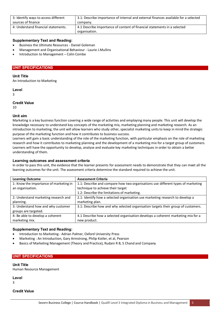| 3: Identify ways to access different | 3.1: Describe importance of internal and external finances available for a selected |
|--------------------------------------|-------------------------------------------------------------------------------------|
| sources of finance                   | company.                                                                            |
| 4: Understand financial statements.  | 4.1 Describe importance of content of financial statements in a selected            |
|                                      | organisation.                                                                       |

## **Supplementary Text and Reading:**

- Business the Ultimate Resources Daniel Goleman
- Management and Organisational Behaviour Laurie J.Mullins
- Introduction to Management Colin Combe

### **UNIT SPECIFICATIONS**

### **Unit Title**

An Introduction to Marketing

**Level** 

3

### **Credit Value**

10

### **Unit aim**

Marketing is a key business function covering a wide range of activities and employing many people. This unit will develop the knowledge necessary to understand key concepts of the marketing mix, marketing planning and marketing research. As an introduction to marketing, the unit will allow learners who study other, specialist marketing units to keep in mind the strategic purpose of the marketing function and how it contributes to business success.

Learners will gain a basic understanding of the role of the marketing function, with particular emphasis on the role of marketing research and how it contributes to marketing planning and the development of a marketing mix for a target group of customers. Learners will have the opportunity to develop, analyse and evaluate key marketing techniques in order to obtain a better understanding of them.

## **Learning outcomes and assessment criteria**

In order to pass this unit, the evidence that the learner presents for assessment needs to demonstrate that they can meet all the learning outcomes for the unit. The assessment criteria determine the standard required to achieve the unit.

| <b>Learning Outcome</b>                | <b>Assessment Criteria</b>                                                        |
|----------------------------------------|-----------------------------------------------------------------------------------|
| 1: Know the importance of marketing in | 1.1: Describe and compare how two organisations use different types of marketing  |
| an organisation.                       | technique to achieve their target                                                 |
|                                        | 1.2: Describe the limitations of marketing.                                       |
| 2: Understand marketing research and   | 2.1: Identify how a selected organisation use marketing research to develop a     |
| planning.                              | marketing plan.                                                                   |
| 3: Understand how and why customer     | 3.1: Describe how and why selected organisation targets their group of customers. |
| groups are targeted.                   |                                                                                   |
| 4: Be able to develop a coherent       | 4.1 Describe how a selected organisation develops a coherent marketing mix for a  |
| marketing mix.                         | new product.                                                                      |

## **Supplementary Text and Reading:**

- Introduction to Marketing Adrian Palmer, Oxford University Press
- Marketing : An Introduction, Gary Armstrong, Philip Kotler, et al, Pearson
- Basics of Marketing Management (Theory and Practice), Rudani R B, S Chand and Company

### **UNIT SPECIFICATIONS**

**Unit Title**  Human Resource Management

**Level** 

3

### **Credit Value**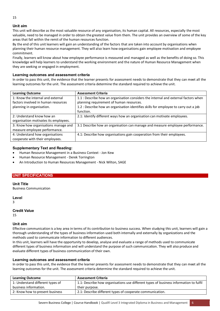## **Unit aim**

This unit will describe as the most valuable resource of any organisation, its human capital. All resources, especially the most valuable, need to be managed in order to obtain the greatest value from them. The unit provides an overview of some of the key areas that fall within the remit of the human resources function.

By the end of this unit learners will gain an understanding of the factors that are taken into account by organisations when planning their human resource management. They will also learn how organisations gain employee motivation and employee commitment.

Finally, learners will know about how employee performance is measured and managed as well as the benefits of doing so. This knowledge will help learners to understand the working environment and the nature of Human Resource Management when they are seeking or engaged in employment.

## **Learning outcomes and assessment criteria**

In order to pass this unit, the evidence that the learner presents for assessment needs to demonstrate that they can meet all the learning outcomes for the unit. The assessment criteria determine the standard required to achieve the unit.

| <b>Learning Outcome</b>               | <b>Assessment Criteria</b>                                                           |
|---------------------------------------|--------------------------------------------------------------------------------------|
| 1: Know the internal and external     | 1.1 : Describe how an organisation considers the internal and external factors when  |
| factors involved in human resources   | planning requirement of human resources.                                             |
| planning in organisation.             | 1.2 : Describe how an organisation identifies skills for employee to carry out a job |
|                                       | function.                                                                            |
| 2: Understand know how an             | 2.1: Identify different ways how an organisation can motivate employees.             |
| organisation motivates its employees. |                                                                                      |
| 3: Know how organisations manage and  | 3.1 Describe how an organisation can manage and measure employee performance.        |
| measure employee performance.         |                                                                                      |
| 4: Understand how organisations       | 4.1: Describe how organisations gain cooperation from their employees.               |
| cooperate with their employees.       |                                                                                      |

## **Supplementary Text and Reading:**

- Human Resource Management in a Business Context Jon Kew
- Human Resource Management Derek Torrington
- An Introduction to Human Resources Management Nick Wilton, SAGE

### **UNIT SPECIFICATIONS**

**Unit Title**  Business Communication

**Level** 

3

## **Credit Value**

15

## **Unit aim**

Effective communication is a key area in terms of its contribution to business success. When studying this unit, learners will gain a thorough understanding of the types of business information used both internally and externally by organizations and the methods used to communicate information to different audiences.

In this unit, learners will have the opportunity to develop, analyse and evaluate a range of methods used to communicate different types of business information and will understand the purpose of such communication. They will also produce and evaluate different types of business communication of their own.

### **Learning outcomes and assessment criteria**

In order to pass this unit, the evidence that the learner presents for assessment needs to demonstrate that they can meet all the learning outcomes for the unit. The assessment criteria determine the standard required to achieve the unit.

| <b>Assessment Criteria</b>                                                            |
|---------------------------------------------------------------------------------------|
| 1.1: Describe how organisations use different types of business information to fulfil |
| their purpose.                                                                        |
| 2.1: Describe different types of cooperate communication.                             |
|                                                                                       |

Severn Business College | Course Handbook | Qualifi Level 3 Integrated Diploma in Business and Management 6

15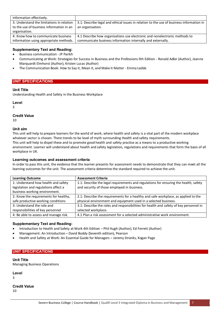| information effectively.                  |                                                                                          |
|-------------------------------------------|------------------------------------------------------------------------------------------|
| 3: Understand the limitations in relation | 3.1: Describe legal and ethical issues in relation to the use of business information in |
| to the use of business information in an  | an organisation.                                                                         |
| organisation.                             |                                                                                          |
| 4: Know how to communicate business       | 4.1 Describe how organisations use electronic and nonelectronic methods to               |
| information using appropriate methods.    | communicate business information internally and externally.                              |

## **Supplementary Text and Reading:**

- Business communication JP Parikh
- Communicating at Work: Strategies for Success in Business and the Professions llth Edition Ronald Adler (Author), Jeanne Marquardt Elmhorst (Author), Kristen Lucas (Author)
- The Communication Book: How to Say it, Mean it, and Make it Matter Emma Ledde

## **UNIT SPECIFICATIONS**

### **Unit Title**

Understanding Health and Safety in the Business Workplace

### **Level**

3

### **Credit Value**

10

### **Unit aim**

This unit will help to prepare learners for the world of work, where health and safety is a vital part of the modern workplace whatever sector is chosen. There trends to be level of myth surrounding Health and safety requirements. This unit will help to dispel these and to promote good health and safety practise as a means to a productive working environment. Learner will understand about health and safety legislation, regulations and requirements that form the basis of all workplace in UK.

## **Learning outcomes and assessment criteria**

In order to pass this unit, the evidence that the learner presents for assessment needs to demonstrate that they can meet all the learning outcomes for the unit. The assessment criteria determine the standard required to achieve the unit.

| <b>Learning Outcome</b>               | <b>Assessment Criteria</b>                                                             |
|---------------------------------------|----------------------------------------------------------------------------------------|
| 1: Understand how health and safety   | 1.1: Describe the legal requirements and regulations for ensuring the health, safety   |
| legislation and regulations affect a  | and security of those employed in business.                                            |
| business working environment.         |                                                                                        |
| 2: Know the requirements for healthy, | 2.1: Describe the requirements for a healthy and safe workplace, as applied to the     |
| safe productive working conditions    | physical environment and equipment used in a selected business.                        |
| 3: Understand the role and            | 3.1: Describe the roles and responsibilities for health and safety of key personnel in |
| responsibilities of key personnel     | selected workplace.                                                                    |
| 4: Be able to assess and manage risk. | 4.1 Plan a risk assessment for a selected administrative work environment.             |
|                                       |                                                                                        |

## **Supplementary Text and Reading:**

- Introduction to Health and Safety at Work 4th Edition Phil Hugh (Author), Ed Ferrett (Author)
- Management: An Introduction David Boddy (Seventh edition), Pearson
- Health and Safety at Work: An Essential Guide for Managers Jeremy Stranks, Kogan Page

## **UNIT SPECIFICATIONS**

**Unit Title**  Managing Business Operations

**Level** 

3

#### **Credit Value**  10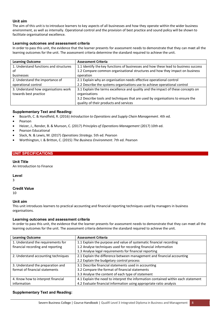### **Unit aim**

The aim of this unit is to introduce learners to key aspects of all businesses and how they operate within the wider business environment, as well as internally. Operational control and the provision of best practice and sound policy will be shown to facilitate organisational excellence.

## **Learning outcomes and assessment criteria**

In order to pass this unit, the evidence that the learner presents for assessment needs to demonstrate that they can meet all the learning outcomes for the unit. The assessment criteria determine the standard required to achieve the unit.

| <b>Learning Outcome</b>                | <b>Assessment Criteria</b>                                                          |
|----------------------------------------|-------------------------------------------------------------------------------------|
| 1. Understand functions and structures | 1.1 Identify the key functions of businesses and how these lead to business success |
| of                                     | 1.2 Compare common organisational structures and how they impact on business        |
| businesses                             | operation                                                                           |
| 2. Understand the importance of        | 2.1 Explain why an organisation needs effective operational control                 |
| operational control                    | 2.2 Describe the systems organisations use to achieve operational control           |
| 3. Understand how organisations work   | 3.1 Explain the terms excellence and quality and the impact of these concepts on    |
| towards best practice                  | organisations                                                                       |
|                                        | 3.2 Describe tools and techniques that are used by organisations to ensure the      |
|                                        | quality of their products and services                                              |

### **Supplementary Text and Reading:**

- Bozarth, C. & Handfield, R. (2016) *Introduction to Operations and Supply Chain Management*. 4th ed.
- Pearson
- Heizer, J., Render, B. & Munson, C. (2017) *Principles of Operations Management* (2017) 10th ed.
- Pearson Educational
- Slack, N. & Lewis, M. (2017) *Operations Strategy*. 5th ed. Pearson
- Worthington, I. & Britton, C. (2015) *The Business Environment*. 7th ed. Pearson

### **UNIT SPECIFICATIONS**

### **Unit Title**

An Introduction to Finance

### **Level**

3

# **Credit Value**

10

### **Unit aim**

This unit introduces learners to practical accounting and financial reporting techniques used by managers in business organisations.

### **Learning outcomes and assessment criteria**

In order to pass this unit, the evidence that the learner presents for assessment needs to demonstrate that they can meet all the learning outcomes for the unit. The assessment criteria determine the standard required to achieve the unit.

| <b>Learning Outcome</b>             | <b>Assessment Criteria</b>                                                        |
|-------------------------------------|-----------------------------------------------------------------------------------|
| 1. Understand the requirements for  | 1.1 Explain the purpose and value of systematic financial recording               |
| financial recording and reporting   | 1.2 Analyse techniques used for recording financial information                   |
|                                     | 1.3 Analyse legal requirements for financial reporting                            |
| 2. Understand accounting techniques | 2.1 Explain the difference between management and financial accounting            |
|                                     | 2.2 Explain the budgetary control process                                         |
| 3. Understand the preparation and   | 3.1 Describe financial statements used in accounting                              |
| format of financial statements      | 3.2 Compare the format of financial statements                                    |
|                                     | 3.3 Analyse the content of each type of statement                                 |
| 4. Know how to interpret financial  | 4.1 Explain the need to interpret the information contained within each statement |
| information                         | 4.2 Evaluate financial information using appropriate ratio analysis               |

## **Supplementary Text and Reading:**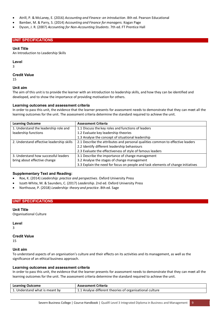- Atrill, P. & McLaney, E. (2016) *Accounting and Finance: an introduction*. 8th ed. Pearson Educational
- Bamber, M. & Parry, S. (2014) *Accounting and Finance for managers.* Kogan Page
- Dyson, J. R. (2007) *Accounting for Non-Accounting Students*. 7th ed. FT Prentice Hall

## **UNIT SPECIFICATIONS**

### **Unit Title**

An Introduction to Leadership Skills

### **Level**

3

### **Credit Value**

15

### **Unit aim**

The aim of this unit is to provide the learner with an introduction to leadership skills, and how they can be identified and developed, and to show the importance of providing motivation for others.

### **Learning outcomes and assessment criteria**

In order to pass this unit, the evidence that the learner presents for assessment needs to demonstrate that they can meet all the learning outcomes for the unit. The assessment criteria determine the standard required to achieve the unit.

| <b>Learning Outcome</b>                   | <b>Assessment Criteria</b>                                                       |
|-------------------------------------------|----------------------------------------------------------------------------------|
| 1. Understand the leadership role and     | 1.1 Discuss the key roles and functions of leaders                               |
| leadership functions                      | 1.2 Evaluate key leadership theories                                             |
|                                           | 1.3 Analyse the concept of situational leadership                                |
| 2. Understand effective leadership skills | 2.1 Describe the attributes and personal qualities common to effective leaders   |
|                                           | 2.2 Identify different leadership behaviours                                     |
|                                           | 2.3 Evaluate the effectiveness of style of famous leaders                        |
| 3. Understand how successful leaders      | 3.1 Describe the importance of change management                                 |
| bring about effective change              | 3.2 Analyse the stages of change management                                      |
|                                           | 3.3 Explain the need for focus on people and task elements of change initiatives |

## **Supplementary Text and Reading:**

- Roe, K. (2014) *Leadership: practice and perspectives*. Oxford University Press
- Iszatt-White, M. & Saunders, C. (2017) *Leadership*. 2nd ed. Oxford University Press
- Northouse, P. (2018) *Leadership: theory and practice*. 8th ed. Sage

## **UNIT SPECIFICATIONS**

## **Unit Title**

Organisational Culture

**Level** 

3

## **Credit Value**

15

### **Unit aim**

To understand aspects of an organisation's culture and their effects on its activities and its management, as well as the significance of an ethical business approach.

### **Learning outcomes and assessment criteria**

In order to pass this unit, the evidence that the learner presents for assessment needs to demonstrate that they can meet all the learning outcomes for the unit. The assessment criteria determine the standard required to achieve the unit.

| <b>Learning Outcome</b>        | <b>Assessment Criteria</b>                               |
|--------------------------------|----------------------------------------------------------|
| 1. Understand what is meant by | 1.1 Analyse different theories of organisational culture |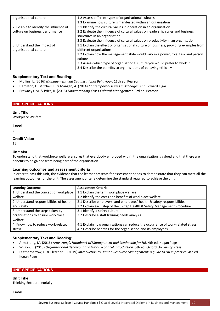| organisational culture                  | 1.2 Assess different types of organisational cultures                                 |
|-----------------------------------------|---------------------------------------------------------------------------------------|
|                                         | 1.3 Examine how culture is manifested within an organisation                          |
| 2. Be able to identify the influence of | 2.1 Identify the cultural values in operation in an organisation                      |
| culture on business performance         | 2.2 Evaluate the influence of cultural values on leadership styles and business       |
|                                         | structures in an organisation                                                         |
|                                         | 2.3 Evaluate the influence of cultural values on productivity in an organisation      |
| 3. Understand the impact of             | 3.1 Explain the effect of organisational culture on business, providing examples from |
| organisational culture                  | different organisations                                                               |
|                                         | 3.2 Explain how the management style would vary in a power, role, task and person     |
|                                         | culture                                                                               |
|                                         | 3.3 Assess which type of organisational culture you would prefer to work in           |
|                                         | 3.4 Describe the benefits to organisations of behaving ethically                      |

## **Supplementary Text and Reading:**

- Mullins, L. (2016) *Management and Organisational Behaviour*. 11th ed. Pearson
- Hamilton, L., Mitchell, L. & Mangan, A. (2014) *Contemporary Issues in Management*. Edward Elgar
- Browaeys, M. & Price, R. (2015) *Understanding Cross-Cultural Management*. 3rd ed. Pearson

### **UNIT SPECIFICATIONS**

### **Unit Title**

Workplace Welfare

**Level** 

3

### **Credit Value**

15

### **Unit aim**

To understand that workforce welfare ensures that everybody employed within the organisation is valued and that there are benefits to be gained from being part of the organisation.

#### **Learning outcomes and assessment criteria**

In order to pass this unit, the evidence that the learner presents for assessment needs to demonstrate that they can meet all the learning outcomes for the unit. The assessment criteria determine the standard required to achieve the unit.

| <b>Learning Outcome</b>                  | <b>Assessment Criteria</b>                                                     |
|------------------------------------------|--------------------------------------------------------------------------------|
| 1. Understand the concept of workplace   | 1.1 Explain the term workplace welfare                                         |
| welfare                                  | 1.2 Identify the costs and benefits of workplace welfare                       |
| 2. Understand responsibilities of health | 2.1 Describe employers' and employees' health & safety responsibilities        |
| and safety                               | 2.2 Explain each step of the 5-Step Health & Safety Management Procedure       |
| 3. Understand the steps taken by         | 3.1 Identify a safety culture                                                  |
| organisations to ensure workplace        | 3.2 Describe a staff training needs analysis                                   |
| welfare                                  |                                                                                |
| 4. Know how to reduce work-related       | 4.1 Explain how organisations can reduce the occurrence of work-related stress |
| stress                                   | 4.2 Describe benefits for the organisation and its employees                   |

### **Supplementary Text and Reading:**

- Armstrong, M. (2016) *Armstrong's Handbook of Management and Leadership for HR*. 4th ed. Kogan Page
- Wilson, F. (2018) *Organizational Behaviour and Work: a critical introduction*. 5th ed. Oxford University Press
- Leatherbarrow, C. & Fletcher, J. (2019) *Introduction to Human Resource Management: a guide to HR in practice*. 4th ed. Kogan Page

## **UNIT SPECIFICATIONS**

**Unit Title**  Thinking Entrepreneurially

**Level**